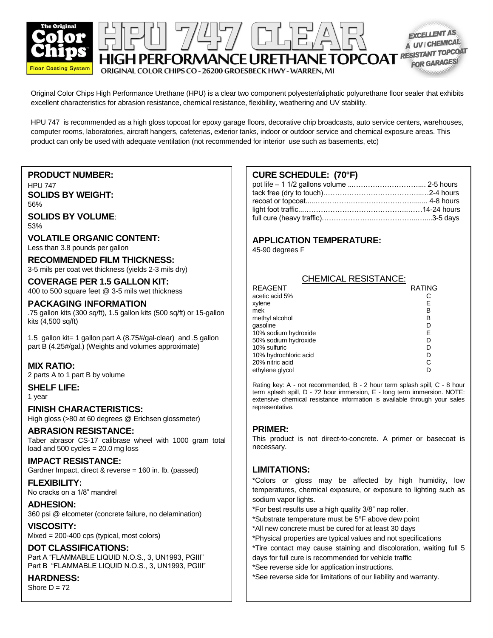

PERFORMANCE URETHANE TOPCOAT RESISTANT TOPCOAT ORIGINAL COLOR CHIPS CO - 26200 GROESBECK HWY - WARREN, MI

Original Color Chips High Performance Urethane (HPU) is a clear two component polyester/aliphatic polyurethane floor sealer that exhibits excellent characteristics for abrasion resistance, chemical resistance, flexibility, weathering and UV stability.

7/457/ (DH) 27

HPU 747 is recommended as a high gloss topcoat for epoxy garage floors, decorative chip broadcasts, auto service centers, warehouses, computer rooms, laboratories, aircraft hangers, cafeterias, exterior tanks, indoor or outdoor service and chemical exposure areas. This product can only be used with adequate ventilation (not recommended for interior use such as basements, etc)

## **PRODUCT NUMBER:**

HPU 747 **SOLIDS BY WEIGHT:** 56%

**SOLIDS BY VOLUME**: 53%

**VOLATILE ORGANIC CONTENT:** Less than 3.8 pounds per gallon

**RECOMMENDED FILM THICKNESS:** 3-5 mils per coat wet thickness (yields 2-3 mils dry)

**COVERAGE PER 1.5 GALLON KIT:** 400 to 500 square feet @ 3-5 mils wet thickness

### **PACKAGING INFORMATION**

.75 gallon kits (300 sq/ft), 1.5 gallon kits (500 sq/ft) or 15-gallon kits (4,500 sq/ft)

1.5 gallon kit= 1 gallon part A (8.75#/gal-clear) and .5 gallon part B (4.25#/gal.) (Weights and volumes approximate)

### **MIX RATIO:**

2 parts A to 1 part B by volume

**SHELF LIFE:** 1 year

**FINISH CHARACTERISTICS:** High gloss (>80 at 60 degrees @ Erichsen glossmeter)

### **ABRASION RESISTANCE:**

Taber abrasor CS-17 calibrase wheel with 1000 gram total load and  $500$  cycles =  $20.0$  mg loss

# **IMPACT RESISTANCE:**

Gardner Impact, direct & reverse = 160 in. lb. (passed)

**FLEXIBILITY:** No cracks on a 1/8" mandrel

**ADHESION:** 360 psi @ elcometer (concrete failure, no delamination)

**VISCOSITY:**

Mixed = 200-400 cps (typical, most colors)

### **DOT CLASSIFICATIONS:**

Part A "FLAMMABLE LIQUID N.O.S., 3, UN1993, PGIII" Part B "FLAMMABLE LIQUID N.O.S., 3, UN1993, PGIII"

### **HARDNESS:**

Shore  $D = 72$ 

# **CURE SCHEDULE: (70°F)**

**EXCELLENT AS** A UV | CHEMICA

### **APPLICATION TEMPERATURE:**

45-90 degrees F

| <b>CHEMICAL RESISTANCE:</b> |               |
|-----------------------------|---------------|
| REAGENT                     | <b>RATING</b> |
| acetic acid 5%              |               |
| xylene                      | Е             |
| mek                         | в             |
| methyl alcohol              | в             |
| gasoline                    | D             |
| 10% sodium hydroxide        | Е             |
| 50% sodium hydroxide        | D             |
| 10% sulfuric                | D             |
| 10% hydrochloric acid       | D             |
| 20% nitric acid             | С             |
| ethylene glycol             |               |

Rating key: A - not recommended, B - 2 hour term splash spill, C - 8 hour term splash spill, D - 72 hour immersion, E - long term immersion. NOTE: extensive chemical resistance information is available through your sales representative.

### **PRIMER:**

This product is not direct-to-concrete. A primer or basecoat is necessary.

### **LIMITATIONS:**

\*Colors or gloss may be affected by high humidity, low temperatures, chemical exposure, or exposure to lighting such as sodium vapor lights.

\*For best results use a high quality 3/8" nap roller.

\*Substrate temperature must be 5°F above dew point

\*All new concrete must be cured for at least 30 days

\*Physical properties are typical values and not specifications

\*Tire contact may cause staining and discoloration, waiting full 5 days for full cure is recommended for vehicle traffic

\*See reverse side for application instructions.<br>\*See reverse side for limitations of our lipbility and

\*See reverse side for limitations of our liability and warranty.